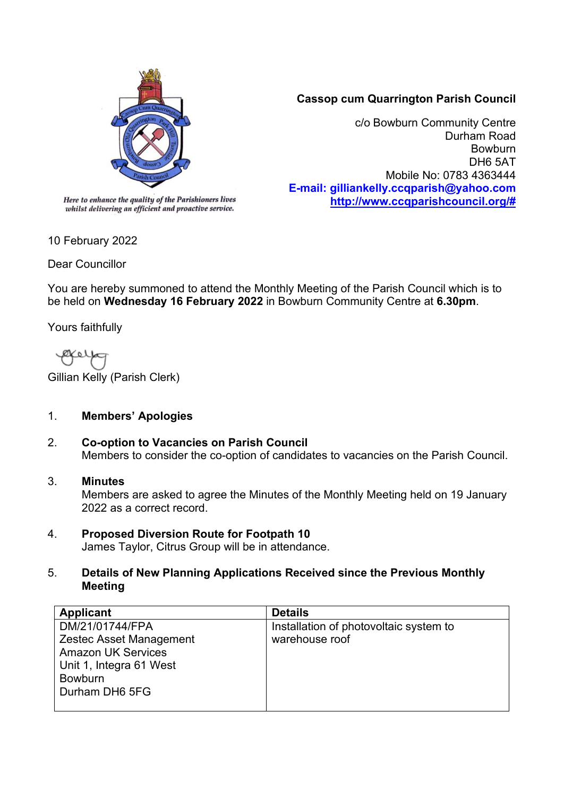

## **Cassop cum Quarrington Parish Council**

c/o Bowburn Community Centre Durham Road Bowburn DH6 5AT Mobile No: 0783 4363444 **E-mail: gilliankelly.ccqparish@yahoo.com [http://www.ccqparishcouncil.org/#](http://www.ccqparishcouncil.org/)**

whilst delivering an efficient and proactive service.

10 February 2022

Dear Councillor

You are hereby summoned to attend the Monthly Meeting of the Parish Council which is to be held on **Wednesday 16 February 2022** in Bowburn Community Centre at **6.30pm**.

Yours faithfully

Ø¥ 6 I

Gillian Kelly (Parish Clerk)

### 1. **Members' Apologies**

2. **Co-option to Vacancies on Parish Council** Members to consider the co-option of candidates to vacancies on the Parish Council.

#### 3. **Minutes**

Members are asked to agree the Minutes of the Monthly Meeting held on 19 January 2022 as a correct record.

# 4. **Proposed Diversion Route for Footpath 10**

James Taylor, Citrus Group will be in attendance.

#### 5. **Details of New Planning Applications Received since the Previous Monthly Meeting**

| <b>Applicant</b>          | <b>Details</b>                         |
|---------------------------|----------------------------------------|
| DM/21/01744/FPA           | Installation of photovoltaic system to |
| Zestec Asset Management   | warehouse roof                         |
| <b>Amazon UK Services</b> |                                        |
| Unit 1, Integra 61 West   |                                        |
| <b>Bowburn</b>            |                                        |
| Durham DH6 5FG            |                                        |
|                           |                                        |